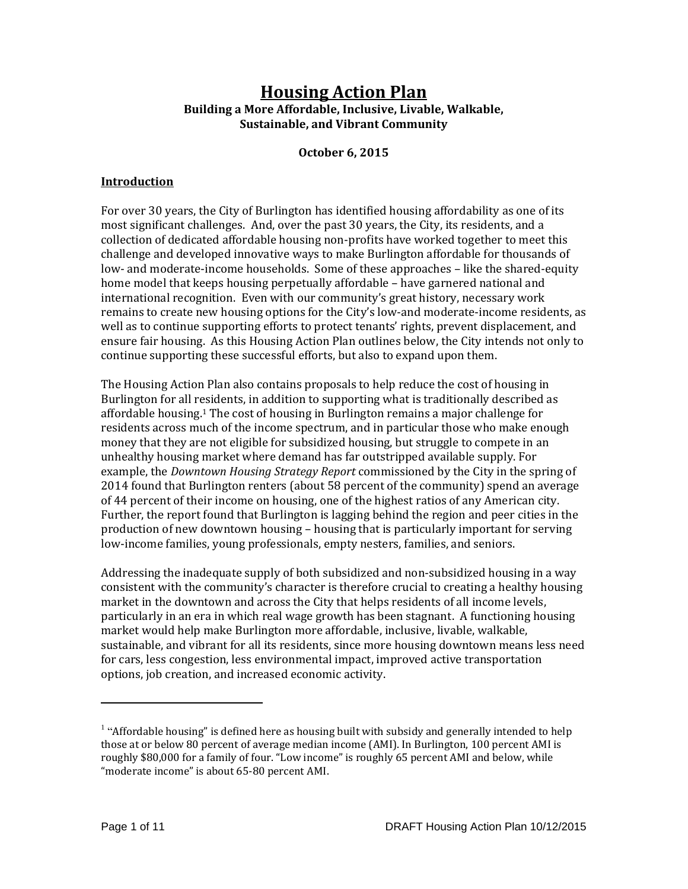# **Housing Action Plan Building a More Affordable, Inclusive, Livable, Walkable, Sustainable, and Vibrant Community**

**October 6, 2015**

#### **Introduction**

For over 30 years, the City of Burlington has identified housing affordability as one of its most significant challenges. And, over the past 30 years, the City, its residents, and a collection of dedicated affordable housing non-profits have worked together to meet this challenge and developed innovative ways to make Burlington affordable for thousands of low- and moderate-income households. Some of these approaches – like the shared-equity home model that keeps housing perpetually affordable – have garnered national and international recognition. Even with our community's great history, necessary work remains to create new housing options for the City's low-and moderate-income residents, as well as to continue supporting efforts to protect tenants' rights, prevent displacement, and ensure fair housing. As this Housing Action Plan outlines below, the City intends not only to continue supporting these successful efforts, but also to expand upon them.

The Housing Action Plan also contains proposals to help reduce the cost of housing in Burlington for all residents, in addition to supporting what is traditionally described as affordable housing.<sup>1</sup> The cost of housing in Burlington remains a major challenge for residents across much of the income spectrum, and in particular those who make enough money that they are not eligible for subsidized housing, but struggle to compete in an unhealthy housing market where demand has far outstripped available supply. For example, the *Downtown Housing Strategy Report* commissioned by the City in the spring of 2014 found that Burlington renters (about 58 percent of the community) spend an average of 44 percent of their income on housing, one of the highest ratios of any American city. Further, the report found that Burlington is lagging behind the region and peer cities in the production of new downtown housing – housing that is particularly important for serving low-income families, young professionals, empty nesters, families, and seniors.

Addressing the inadequate supply of both subsidized and non-subsidized housing in a way consistent with the community's character is therefore crucial to creating a healthy housing market in the downtown and across the City that helps residents of all income levels, particularly in an era in which real wage growth has been stagnant. A functioning housing market would help make Burlington more affordable, inclusive, livable, walkable, sustainable, and vibrant for all its residents, since more housing downtown means less need for cars, less congestion, less environmental impact, improved active transportation options, job creation, and increased economic activity.

 $1$  "Affordable housing" is defined here as housing built with subsidy and generally intended to help those at or below 80 percent of average median income (AMI). In Burlington, 100 percent AMI is roughly \$80,000 for a family of four. "Low income" is roughly 65 percent AMI and below, while "moderate income" is about 65-80 percent AMI.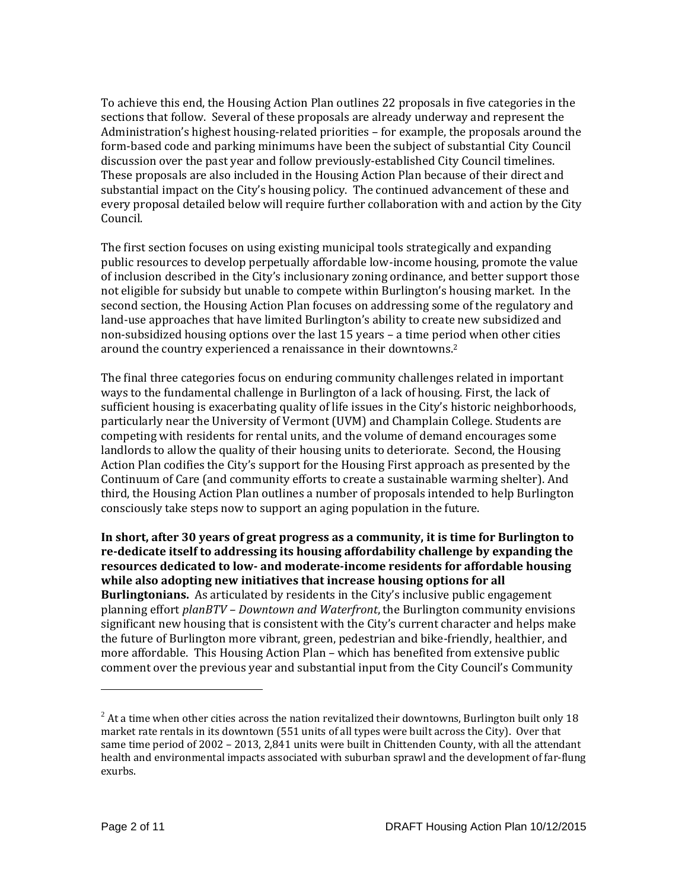To achieve this end, the Housing Action Plan outlines 22 proposals in five categories in the sections that follow. Several of these proposals are already underway and represent the Administration's highest housing-related priorities – for example, the proposals around the form-based code and parking minimums have been the subject of substantial City Council discussion over the past year and follow previously-established City Council timelines. These proposals are also included in the Housing Action Plan because of their direct and substantial impact on the City's housing policy. The continued advancement of these and every proposal detailed below will require further collaboration with and action by the City Council.

The first section focuses on using existing municipal tools strategically and expanding public resources to develop perpetually affordable low-income housing, promote the value of inclusion described in the City's inclusionary zoning ordinance, and better support those not eligible for subsidy but unable to compete within Burlington's housing market. In the second section, the Housing Action Plan focuses on addressing some of the regulatory and land-use approaches that have limited Burlington's ability to create new subsidized and non-subsidized housing options over the last 15 years – a time period when other cities around the country experienced a renaissance in their downtowns.<sup>2</sup>

The final three categories focus on enduring community challenges related in important ways to the fundamental challenge in Burlington of a lack of housing. First, the lack of sufficient housing is exacerbating quality of life issues in the City's historic neighborhoods, particularly near the University of Vermont (UVM) and Champlain College. Students are competing with residents for rental units, and the volume of demand encourages some landlords to allow the quality of their housing units to deteriorate. Second, the Housing Action Plan codifies the City's support for the Housing First approach as presented by the Continuum of Care (and community efforts to create a sustainable warming shelter). And third, the Housing Action Plan outlines a number of proposals intended to help Burlington consciously take steps now to support an aging population in the future.

**In short, after 30 years of great progress as a community, it is time for Burlington to re-dedicate itself to addressing its housing affordability challenge by expanding the resources dedicated to low- and moderate-income residents for affordable housing while also adopting new initiatives that increase housing options for all Burlingtonians.** As articulated by residents in the City's inclusive public engagement planning effort *planBTV – Downtown and Waterfront*, the Burlington community envisions significant new housing that is consistent with the City's current character and helps make the future of Burlington more vibrant, green, pedestrian and bike-friendly, healthier, and more affordable. This Housing Action Plan – which has benefited from extensive public comment over the previous year and substantial input from the City Council's Community

 $2$  At a time when other cities across the nation revitalized their downtowns, Burlington built only 18 market rate rentals in its downtown (551 units of all types were built across the City). Over that same time period of 2002 – 2013, 2,841 units were built in Chittenden County, with all the attendant health and environmental impacts associated with suburban sprawl and the development of far-flung exurbs.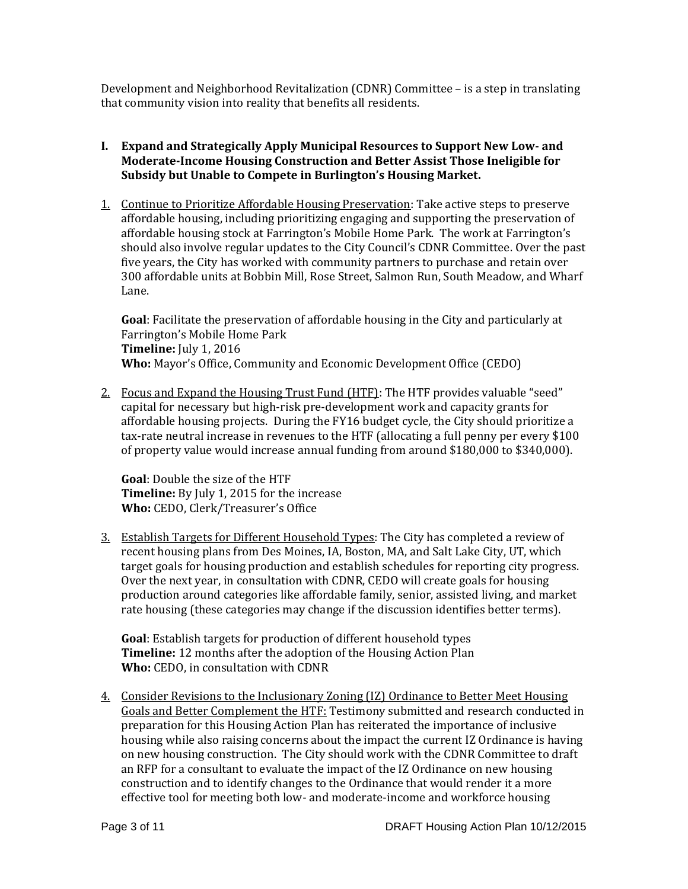Development and Neighborhood Revitalization (CDNR) Committee – is a step in translating that community vision into reality that benefits all residents.

# **I. Expand and Strategically Apply Municipal Resources to Support New Low- and Moderate-Income Housing Construction and Better Assist Those Ineligible for Subsidy but Unable to Compete in Burlington's Housing Market.**

1. Continue to Prioritize Affordable Housing Preservation: Take active steps to preserve affordable housing, including prioritizing engaging and supporting the preservation of affordable housing stock at Farrington's Mobile Home Park. The work at Farrington's should also involve regular updates to the City Council's CDNR Committee. Over the past five years, the City has worked with community partners to purchase and retain over 300 affordable units at Bobbin Mill, Rose Street, Salmon Run, South Meadow, and Wharf Lane.

**Goal**: Facilitate the preservation of affordable housing in the City and particularly at Farrington's Mobile Home Park **Timeline:** July 1, 2016 **Who:** Mayor's Office, Community and Economic Development Office (CEDO)

2. Focus and Expand the Housing Trust Fund (HTF): The HTF provides valuable "seed" capital for necessary but high-risk pre-development work and capacity grants for affordable housing projects. During the FY16 budget cycle, the City should prioritize a tax-rate neutral increase in revenues to the HTF (allocating a full penny per every \$100 of property value would increase annual funding from around \$180,000 to \$340,000).

**Goal**: Double the size of the HTF **Timeline:** By July 1, 2015 for the increase **Who:** CEDO, Clerk/Treasurer's Office

3. Establish Targets for Different Household Types: The City has completed a review of recent housing plans from Des Moines, IA, Boston, MA, and Salt Lake City, UT, which target goals for housing production and establish schedules for reporting city progress. Over the next year, in consultation with CDNR, CEDO will create goals for housing production around categories like affordable family, senior, assisted living, and market rate housing (these categories may change if the discussion identifies better terms).

**Goal**: Establish targets for production of different household types **Timeline:** 12 months after the adoption of the Housing Action Plan **Who:** CEDO, in consultation with CDNR

4. Consider Revisions to the Inclusionary Zoning (IZ) Ordinance to Better Meet Housing Goals and Better Complement the HTF: Testimony submitted and research conducted in preparation for this Housing Action Plan has reiterated the importance of inclusive housing while also raising concerns about the impact the current IZ Ordinance is having on new housing construction. The City should work with the CDNR Committee to draft an RFP for a consultant to evaluate the impact of the IZ Ordinance on new housing construction and to identify changes to the Ordinance that would render it a more effective tool for meeting both low- and moderate-income and workforce housing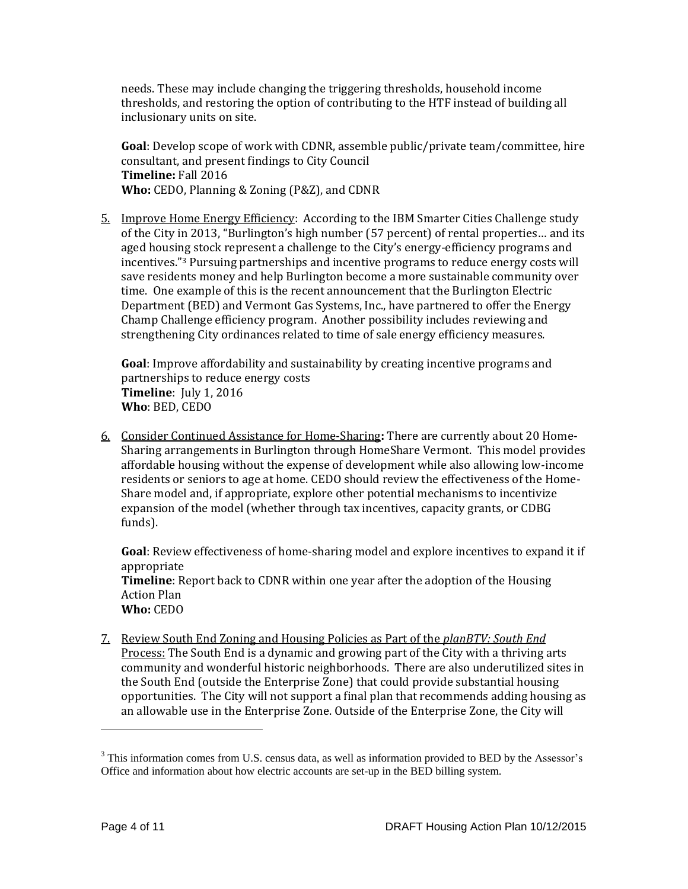needs. These may include changing the triggering thresholds, household income thresholds, and restoring the option of contributing to the HTF instead of building all inclusionary units on site.

**Goal**: Develop scope of work with CDNR, assemble public/private team/committee, hire consultant, and present findings to City Council **Timeline:** Fall 2016 **Who:** CEDO, Planning & Zoning (P&Z), and CDNR

5. Improve Home Energy Efficiency: According to the IBM Smarter Cities Challenge study of the City in 2013, "Burlington's high number (57 percent) of rental properties… and its aged housing stock represent a challenge to the City's energy-efficiency programs and incentives."<sup>3</sup> Pursuing partnerships and incentive programs to reduce energy costs will save residents money and help Burlington become a more sustainable community over time. One example of this is the recent announcement that the Burlington Electric Department (BED) and Vermont Gas Systems, Inc., have partnered to offer the Energy Champ Challenge efficiency program. Another possibility includes reviewing and strengthening City ordinances related to time of sale energy efficiency measures.

**Goal**: Improve affordability and sustainability by creating incentive programs and partnerships to reduce energy costs **Timeline**: July 1, 2016 **Who**: BED, CEDO

6. Consider Continued Assistance for Home-Sharing**:** There are currently about 20 Home-Sharing arrangements in Burlington through HomeShare Vermont. This model provides affordable housing without the expense of development while also allowing low-income residents or seniors to age at home. CEDO should review the effectiveness of the Home-Share model and, if appropriate, explore other potential mechanisms to incentivize expansion of the model (whether through tax incentives, capacity grants, or CDBG funds).

**Goal**: Review effectiveness of home-sharing model and explore incentives to expand it if appropriate **Timeline**: Report back to CDNR within one year after the adoption of the Housing Action Plan **Who:** CEDO

7. Review South End Zoning and Housing Policies as Part of the *planBTV: South End* Process: The South End is a dynamic and growing part of the City with a thriving arts community and wonderful historic neighborhoods. There are also underutilized sites in the South End (outside the Enterprise Zone) that could provide substantial housing opportunities. The City will not support a final plan that recommends adding housing as an allowable use in the Enterprise Zone. Outside of the Enterprise Zone, the City will

<sup>&</sup>lt;sup>3</sup> This information comes from U.S. census data, as well as information provided to BED by the Assessor's Office and information about how electric accounts are set-up in the BED billing system.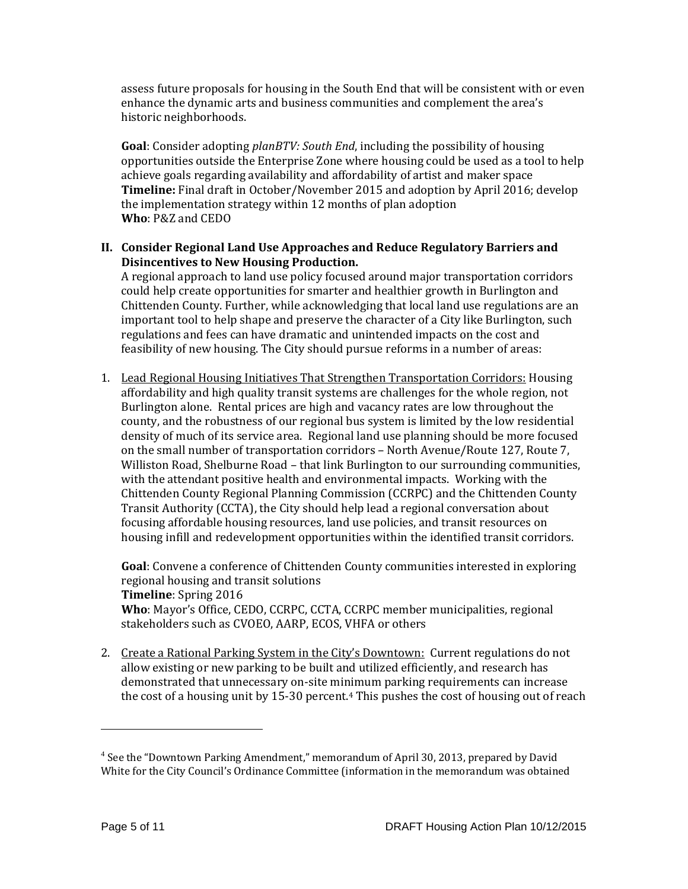assess future proposals for housing in the South End that will be consistent with or even enhance the dynamic arts and business communities and complement the area's historic neighborhoods.

**Goal**: Consider adopting *planBTV: South End*, including the possibility of housing opportunities outside the Enterprise Zone where housing could be used as a tool to help achieve goals regarding availability and affordability of artist and maker space **Timeline:** Final draft in October/November 2015 and adoption by April 2016; develop the implementation strategy within 12 months of plan adoption **Who**: P&Z and CEDO

### **II. Consider Regional Land Use Approaches and Reduce Regulatory Barriers and Disincentives to New Housing Production.**

A regional approach to land use policy focused around major transportation corridors could help create opportunities for smarter and healthier growth in Burlington and Chittenden County. Further, while acknowledging that local land use regulations are an important tool to help shape and preserve the character of a City like Burlington, such regulations and fees can have dramatic and unintended impacts on the cost and feasibility of new housing. The City should pursue reforms in a number of areas:

1. Lead Regional Housing Initiatives That Strengthen Transportation Corridors: Housing affordability and high quality transit systems are challenges for the whole region, not Burlington alone. Rental prices are high and vacancy rates are low throughout the county, and the robustness of our regional bus system is limited by the low residential density of much of its service area. Regional land use planning should be more focused on the small number of transportation corridors – North Avenue/Route 127, Route 7, Williston Road, Shelburne Road – that link Burlington to our surrounding communities, with the attendant positive health and environmental impacts. Working with the Chittenden County Regional Planning Commission (CCRPC) and the Chittenden County Transit Authority (CCTA), the City should help lead a regional conversation about focusing affordable housing resources, land use policies, and transit resources on housing infill and redevelopment opportunities within the identified transit corridors.

**Goal**: Convene a conference of Chittenden County communities interested in exploring regional housing and transit solutions **Timeline**: Spring 2016 **Who**: Mayor's Office, CEDO, CCRPC, CCTA, CCRPC member municipalities, regional stakeholders such as CVOEO, AARP, ECOS, VHFA or others

2. Create a Rational Parking System in the City's Downtown: Current regulations do not allow existing or new parking to be built and utilized efficiently, and research has demonstrated that unnecessary on-site minimum parking requirements can increase the cost of a housing unit by 15-30 percent.<sup>4</sup> This pushes the cost of housing out of reach

<sup>&</sup>lt;sup>4</sup> See the "Downtown Parking Amendment," memorandum of April 30, 2013, prepared by David White for the City Council's Ordinance Committee (information in the memorandum was obtained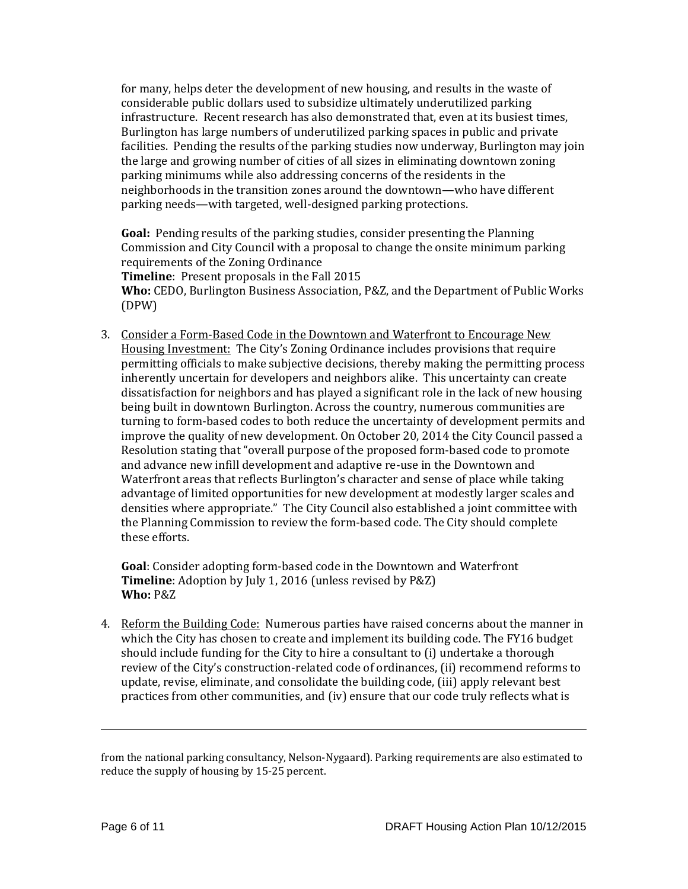for many, helps deter the development of new housing, and results in the waste of considerable public dollars used to subsidize ultimately underutilized parking infrastructure. Recent research has also demonstrated that, even at its busiest times, Burlington has large numbers of underutilized parking spaces in public and private facilities. Pending the results of the parking studies now underway, Burlington may join the large and growing number of cities of all sizes in eliminating downtown zoning parking minimums while also addressing concerns of the residents in the neighborhoods in the transition zones around the downtown—who have different parking needs—with targeted, well-designed parking protections.

**Goal:** Pending results of the parking studies, consider presenting the Planning Commission and City Council with a proposal to change the onsite minimum parking requirements of the Zoning Ordinance

**Timeline**: Present proposals in the Fall 2015

**Who:** CEDO, Burlington Business Association, P&Z, and the Department of Public Works (DPW)

3. Consider a Form-Based Code in the Downtown and Waterfront to Encourage New Housing Investment:The City's Zoning Ordinance includes provisions that require permitting officials to make subjective decisions, thereby making the permitting process inherently uncertain for developers and neighbors alike. This uncertainty can create dissatisfaction for neighbors and has played a significant role in the lack of new housing being built in downtown Burlington. Across the country, numerous communities are turning to form-based codes to both reduce the uncertainty of development permits and improve the quality of new development. On October 20, 2014 the City Council passed a Resolution stating that "overall purpose of the proposed form-based code to promote and advance new infill development and adaptive re-use in the Downtown and Waterfront areas that reflects Burlington's character and sense of place while taking advantage of limited opportunities for new development at modestly larger scales and densities where appropriate." The City Council also established a joint committee with the Planning Commission to review the form-based code. The City should complete these efforts.

**Goal**: Consider adopting form-based code in the Downtown and Waterfront **Timeline**: Adoption by July 1, 2016 (unless revised by P&Z) **Who:** P&Z

4. Reform the Building Code: Numerous parties have raised concerns about the manner in which the City has chosen to create and implement its building code. The FY16 budget should include funding for the City to hire a consultant to (i) undertake a thorough review of the City's construction-related code of ordinances, (ii) recommend reforms to update, revise, eliminate, and consolidate the building code, (iii) apply relevant best practices from other communities, and (iv) ensure that our code truly reflects what is

from the national parking consultancy, Nelson-Nygaard). Parking requirements are also estimated to reduce the supply of housing by 15-25 percent.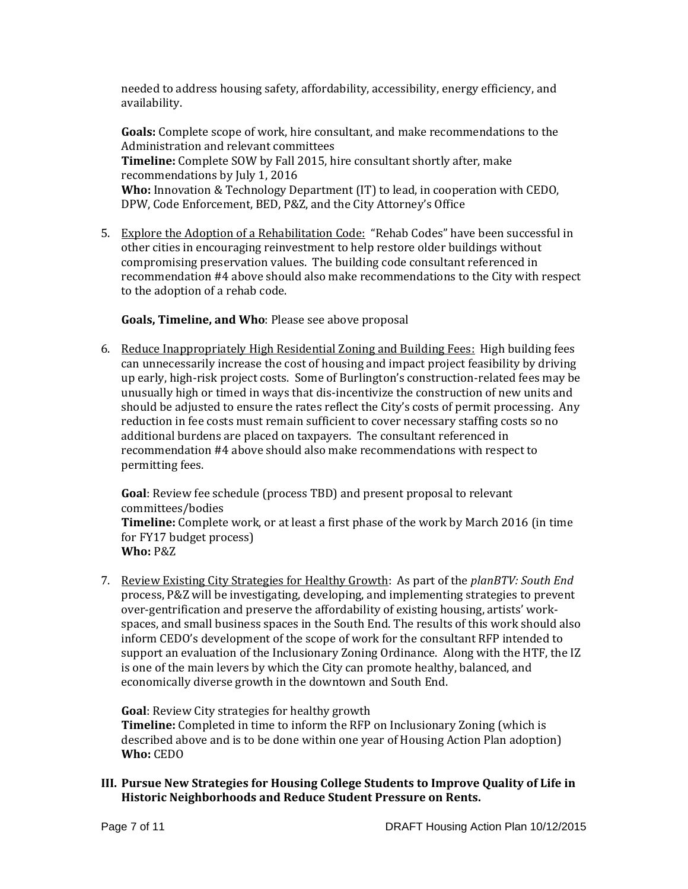needed to address housing safety, affordability, accessibility, energy efficiency, and availability.

**Goals:** Complete scope of work, hire consultant, and make recommendations to the Administration and relevant committees **Timeline:** Complete SOW by Fall 2015, hire consultant shortly after, make recommendations by July 1, 2016 **Who:** Innovation & Technology Department (IT) to lead, in cooperation with CEDO, DPW, Code Enforcement, BED, P&Z, and the City Attorney's Office

5. Explore the Adoption of a Rehabilitation Code: "Rehab Codes" have been successful in other cities in encouraging reinvestment to help restore older buildings without compromising preservation values. The building code consultant referenced in recommendation #4 above should also make recommendations to the City with respect to the adoption of a rehab code.

# **Goals, Timeline, and Who**: Please see above proposal

6. Reduce Inappropriately High Residential Zoning and Building Fees: High building fees can unnecessarily increase the cost of housing and impact project feasibility by driving up early, high-risk project costs. Some of Burlington's construction-related fees may be unusually high or timed in ways that dis-incentivize the construction of new units and should be adjusted to ensure the rates reflect the City's costs of permit processing. Any reduction in fee costs must remain sufficient to cover necessary staffing costs so no additional burdens are placed on taxpayers. The consultant referenced in recommendation #4 above should also make recommendations with respect to permitting fees.

**Goal**: Review fee schedule (process TBD) and present proposal to relevant committees/bodies **Timeline:** Complete work, or at least a first phase of the work by March 2016 (in time for FY17 budget process) **Who:** P&Z

7. Review Existing City Strategies for Healthy Growth: As part of the *planBTV: South End* process, P&Z will be investigating, developing, and implementing strategies to prevent over-gentrification and preserve the affordability of existing housing, artists' workspaces, and small business spaces in the South End. The results of this work should also inform CEDO's development of the scope of work for the consultant RFP intended to support an evaluation of the Inclusionary Zoning Ordinance. Along with the HTF, the IZ is one of the main levers by which the City can promote healthy, balanced, and economically diverse growth in the downtown and South End.

**Goal**: Review City strategies for healthy growth **Timeline:** Completed in time to inform the RFP on Inclusionary Zoning (which is described above and is to be done within one year of Housing Action Plan adoption) **Who:** CEDO

**III. Pursue New Strategies for Housing College Students to Improve Quality of Life in Historic Neighborhoods and Reduce Student Pressure on Rents.**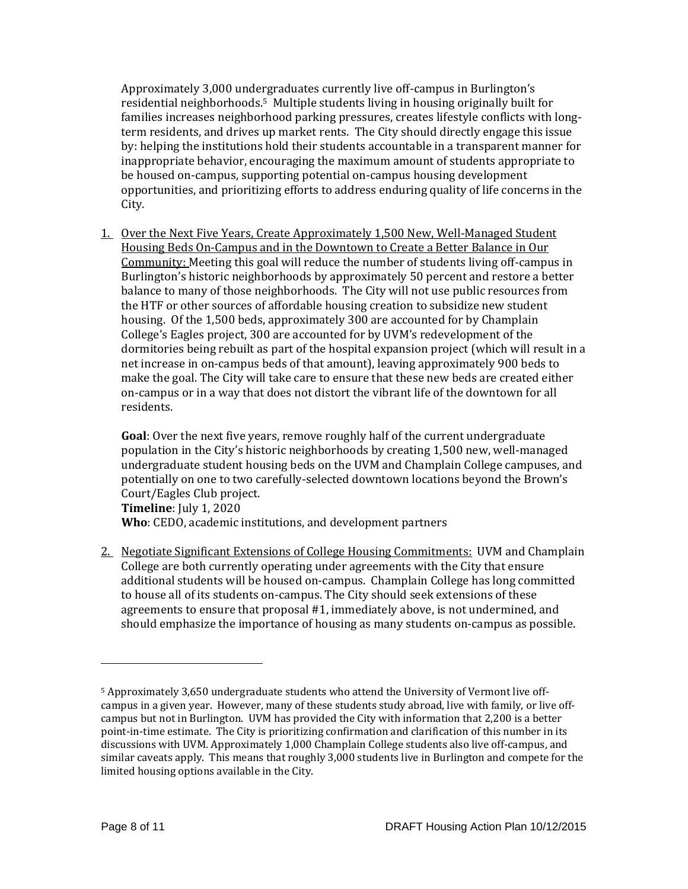Approximately 3,000 undergraduates currently live off-campus in Burlington's residential neighborhoods.5 Multiple students living in housing originally built for families increases neighborhood parking pressures, creates lifestyle conflicts with longterm residents, and drives up market rents. The City should directly engage this issue by: helping the institutions hold their students accountable in a transparent manner for inappropriate behavior, encouraging the maximum amount of students appropriate to be housed on-campus, supporting potential on-campus housing development opportunities, and prioritizing efforts to address enduring quality of life concerns in the City.

1. Over the Next Five Years, Create Approximately 1,500 New, Well-Managed Student Housing Beds On-Campus and in the Downtown to Create a Better Balance in Our Community: Meeting this goal will reduce the number of students living off-campus in Burlington's historic neighborhoods by approximately 50 percent and restore a better balance to many of those neighborhoods. The City will not use public resources from the HTF or other sources of affordable housing creation to subsidize new student housing. Of the 1,500 beds, approximately 300 are accounted for by Champlain College's Eagles project, 300 are accounted for by UVM's redevelopment of the dormitories being rebuilt as part of the hospital expansion project (which will result in a net increase in on-campus beds of that amount), leaving approximately 900 beds to make the goal. The City will take care to ensure that these new beds are created either on-campus or in a way that does not distort the vibrant life of the downtown for all residents.

**Goal**: Over the next five years, remove roughly half of the current undergraduate population in the City's historic neighborhoods by creating 1,500 new, well-managed undergraduate student housing beds on the UVM and Champlain College campuses, and potentially on one to two carefully-selected downtown locations beyond the Brown's Court/Eagles Club project. **Timeline**: July 1, 2020

**Who**: CEDO, academic institutions, and development partners

2. Negotiate Significant Extensions of College Housing Commitments: UVM and Champlain College are both currently operating under agreements with the City that ensure additional students will be housed on-campus. Champlain College has long committed to house all of its students on-campus. The City should seek extensions of these agreements to ensure that proposal #1, immediately above, is not undermined, and should emphasize the importance of housing as many students on-campus as possible.

<sup>5</sup> Approximately 3,650 undergraduate students who attend the University of Vermont live offcampus in a given year. However, many of these students study abroad, live with family, or live offcampus but not in Burlington. UVM has provided the City with information that 2,200 is a better point-in-time estimate. The City is prioritizing confirmation and clarification of this number in its discussions with UVM. Approximately 1,000 Champlain College students also live off-campus, and similar caveats apply. This means that roughly 3,000 students live in Burlington and compete for the limited housing options available in the City.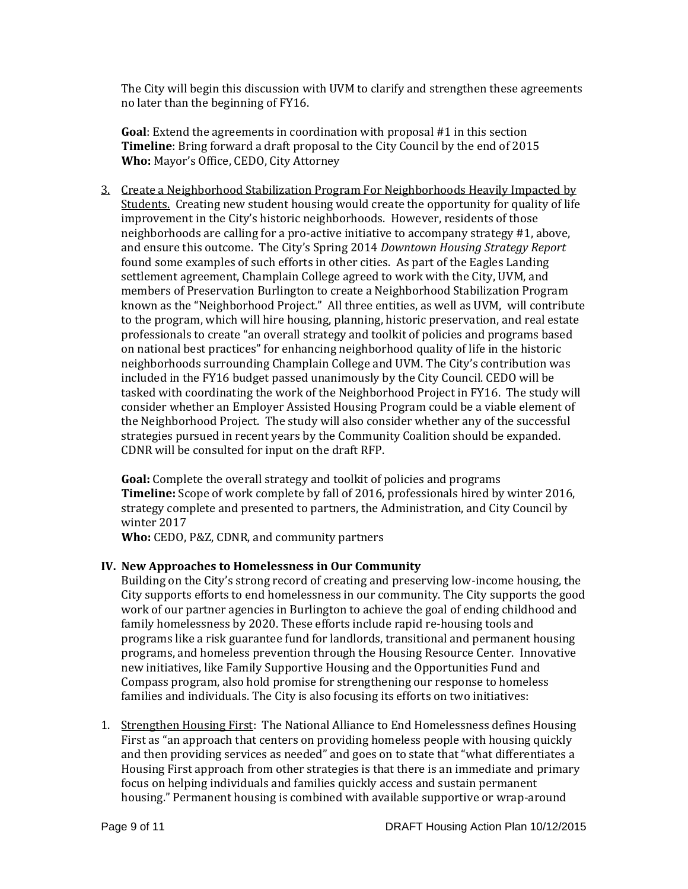The City will begin this discussion with UVM to clarify and strengthen these agreements no later than the beginning of FY16.

**Goal**: Extend the agreements in coordination with proposal #1 in this section **Timeline**: Bring forward a draft proposal to the City Council by the end of 2015 **Who:** Mayor's Office, CEDO, City Attorney

3. Create a Neighborhood Stabilization Program For Neighborhoods Heavily Impacted by Students. Creating new student housing would create the opportunity for quality of life improvement in the City's historic neighborhoods. However, residents of those neighborhoods are calling for a pro-active initiative to accompany strategy #1, above, and ensure this outcome. The City's Spring 2014 *Downtown Housing Strategy Report* found some examples of such efforts in other cities. As part of the Eagles Landing settlement agreement, Champlain College agreed to work with the City, UVM, and members of Preservation Burlington to create a Neighborhood Stabilization Program known as the "Neighborhood Project." All three entities, as well as UVM, will contribute to the program, which will hire housing, planning, historic preservation, and real estate professionals to create "an overall strategy and toolkit of policies and programs based on national best practices" for enhancing neighborhood quality of life in the historic neighborhoods surrounding Champlain College and UVM. The City's contribution was included in the FY16 budget passed unanimously by the City Council. CEDO will be tasked with coordinating the work of the Neighborhood Project in FY16. The study will consider whether an Employer Assisted Housing Program could be a viable element of the Neighborhood Project. The study will also consider whether any of the successful strategies pursued in recent years by the Community Coalition should be expanded. CDNR will be consulted for input on the draft RFP.

**Goal:** Complete the overall strategy and toolkit of policies and programs **Timeline:** Scope of work complete by fall of 2016, professionals hired by winter 2016, strategy complete and presented to partners, the Administration, and City Council by winter 2017

**Who:** CEDO, P&Z, CDNR, and community partners

# **IV. New Approaches to Homelessness in Our Community**

Building on the City's strong record of creating and preserving low-income housing, the City supports efforts to end homelessness in our community. The City supports the good work of our partner agencies in Burlington to achieve the goal of ending childhood and family homelessness by 2020. These efforts include rapid re-housing tools and programs like a risk guarantee fund for landlords, transitional and permanent housing programs, and homeless prevention through the Housing Resource Center. Innovative new initiatives, like Family Supportive Housing and the Opportunities Fund and Compass program, also hold promise for strengthening our response to homeless families and individuals. The City is also focusing its efforts on two initiatives:

1. Strengthen Housing First: The National Alliance to End Homelessness defines Housing First as "an approach that centers on providing homeless people with housing quickly and then providing services as needed" and goes on to state that "what differentiates a Housing First approach from other strategies is that there is an immediate and primary focus on helping individuals and families quickly access and sustain permanent housing." Permanent housing is combined with available supportive or wrap-around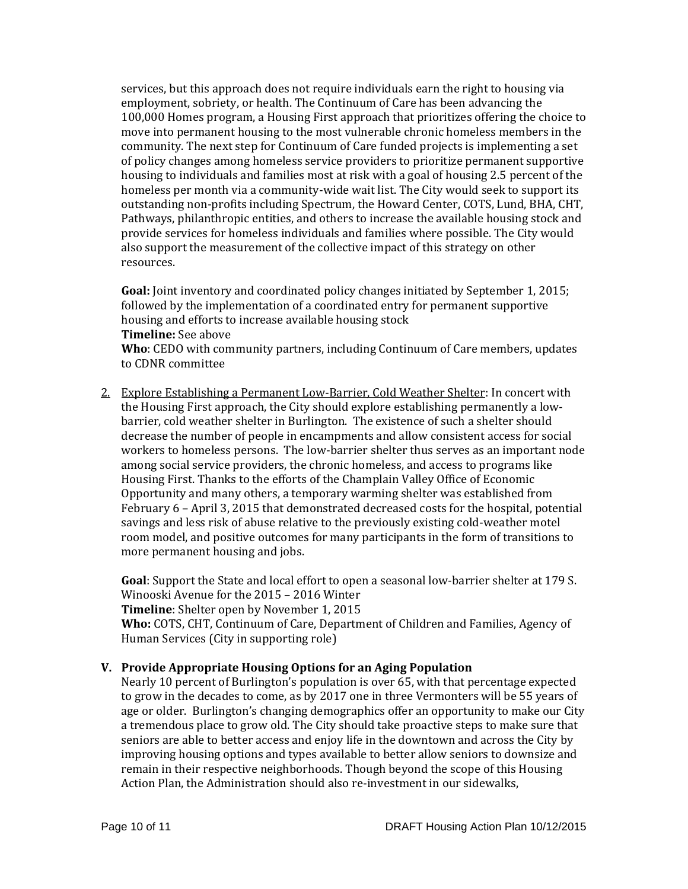services, but this approach does not require individuals earn the right to housing via employment, sobriety, or health. The Continuum of Care has been advancing the 100,000 Homes program, a Housing First approach that prioritizes offering the choice to move into permanent housing to the most vulnerable chronic homeless members in the community. The next step for Continuum of Care funded projects is implementing a set of policy changes among homeless service providers to prioritize permanent supportive housing to individuals and families most at risk with a goal of housing 2.5 percent of the homeless per month via a community-wide wait list. The City would seek to support its outstanding non-profits including Spectrum, the Howard Center, COTS, Lund, BHA, CHT, Pathways, philanthropic entities, and others to increase the available housing stock and provide services for homeless individuals and families where possible. The City would also support the measurement of the collective impact of this strategy on other resources.

**Goal:** Joint inventory and coordinated policy changes initiated by September 1, 2015; followed by the implementation of a coordinated entry for permanent supportive housing and efforts to increase available housing stock **Timeline:** See above **Who**: CEDO with community partners, including Continuum of Care members, updates to CDNR committee

2. Explore Establishing a Permanent Low-Barrier, Cold Weather Shelter: In concert with the Housing First approach, the City should explore establishing permanently a lowbarrier, cold weather shelter in Burlington. The existence of such a shelter should decrease the number of people in encampments and allow consistent access for social workers to homeless persons. The low-barrier shelter thus serves as an important node among social service providers, the chronic homeless, and access to programs like Housing First. Thanks to the efforts of the Champlain Valley Office of Economic Opportunity and many others, a temporary warming shelter was established from February 6 – April 3, 2015 that demonstrated decreased costs for the hospital, potential savings and less risk of abuse relative to the previously existing cold-weather motel room model, and positive outcomes for many participants in the form of transitions to more permanent housing and jobs.

**Goal**: Support the State and local effort to open a seasonal low-barrier shelter at 179 S. Winooski Avenue for the 2015 – 2016 Winter **Timeline**: Shelter open by November 1, 2015 **Who:** COTS, CHT, Continuum of Care, Department of Children and Families, Agency of Human Services (City in supporting role)

#### **V. Provide Appropriate Housing Options for an Aging Population**

Nearly 10 percent of Burlington's population is over 65, with that percentage expected to grow in the decades to come, as by 2017 one in three Vermonters will be 55 years of age or older. Burlington's changing demographics offer an opportunity to make our City a tremendous place to grow old. The City should take proactive steps to make sure that seniors are able to better access and enjoy life in the downtown and across the City by improving housing options and types available to better allow seniors to downsize and remain in their respective neighborhoods. Though beyond the scope of this Housing Action Plan, the Administration should also re-investment in our sidewalks,